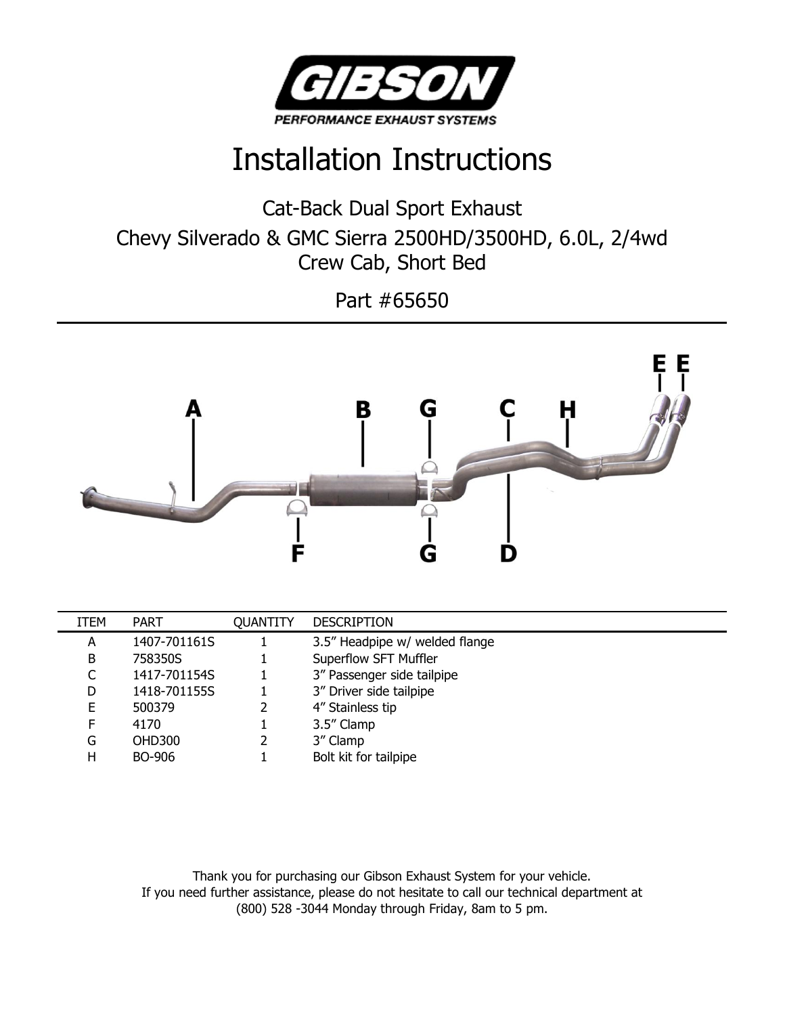

## Installation Instructions

Cat-Back Dual Sport Exhaust Chevy Silverado & GMC Sierra 2500HD/3500HD, 6.0L, 2/4wd Crew Cab, Short Bed

Part #65650



| ITEM | <b>PART</b>   | <b>OUANTITY</b> | <b>DESCRIPTION</b>             |
|------|---------------|-----------------|--------------------------------|
| А    | 1407-701161S  |                 | 3.5" Headpipe w/ welded flange |
| B    | 758350S       |                 | Superflow SFT Muffler          |
|      | 1417-701154S  |                 | 3" Passenger side tailpipe     |
| D    | 1418-701155S  |                 | 3" Driver side tailpipe        |
| F.   | 500379        |                 | 4" Stainless tip               |
| F.   | 4170          |                 | 3.5" Clamp                     |
| G    | <b>OHD300</b> |                 | 3" Clamp                       |
| н    | BO-906        |                 | Bolt kit for tailpipe          |

Thank you for purchasing our Gibson Exhaust System for your vehicle. If you need further assistance, please do not hesitate to call our technical department at (800) 528 -3044 Monday through Friday, 8am to 5 pm.